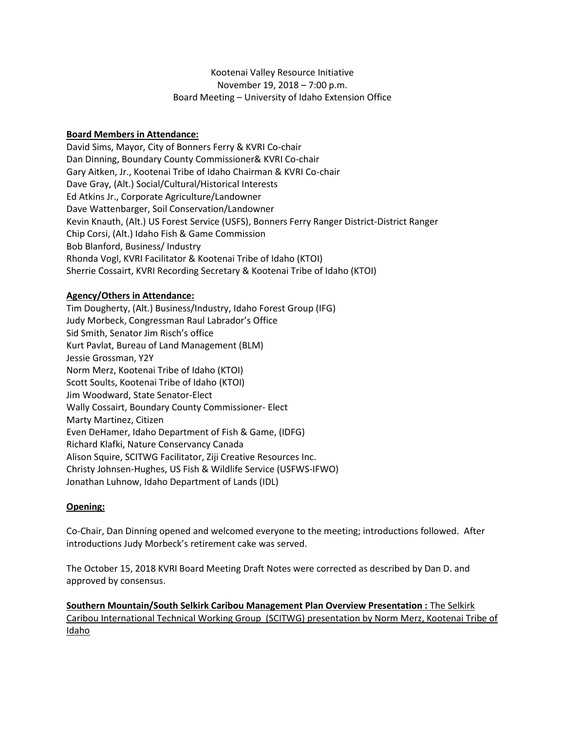## Kootenai Valley Resource Initiative November 19, 2018 – 7:00 p.m. Board Meeting – University of Idaho Extension Office

## **Board Members in Attendance:**

David Sims, Mayor, City of Bonners Ferry & KVRI Co-chair Dan Dinning, Boundary County Commissioner& KVRI Co-chair Gary Aitken, Jr., Kootenai Tribe of Idaho Chairman & KVRI Co-chair Dave Gray, (Alt.) Social/Cultural/Historical Interests Ed Atkins Jr., Corporate Agriculture/Landowner Dave Wattenbarger, Soil Conservation/Landowner Kevin Knauth, (Alt.) US Forest Service (USFS), Bonners Ferry Ranger District-District Ranger Chip Corsi, (Alt.) Idaho Fish & Game Commission Bob Blanford, Business/ Industry Rhonda Vogl, KVRI Facilitator & Kootenai Tribe of Idaho (KTOI) Sherrie Cossairt, KVRI Recording Secretary & Kootenai Tribe of Idaho (KTOI)

#### **Agency/Others in Attendance:**

Tim Dougherty, (Alt.) Business/Industry, Idaho Forest Group (IFG) Judy Morbeck, Congressman Raul Labrador's Office Sid Smith, Senator Jim Risch's office Kurt Pavlat, Bureau of Land Management (BLM) Jessie Grossman, Y2Y Norm Merz, Kootenai Tribe of Idaho (KTOI) Scott Soults, Kootenai Tribe of Idaho (KTOI) Jim Woodward, State Senator-Elect Wally Cossairt, Boundary County Commissioner- Elect Marty Martinez, Citizen Even DeHamer, Idaho Department of Fish & Game, (IDFG) Richard Klafki, Nature Conservancy Canada Alison Squire, SCITWG Facilitator, Ziji Creative Resources Inc. Christy Johnsen-Hughes, US Fish & Wildlife Service (USFWS-IFWO) Jonathan Luhnow, Idaho Department of Lands (IDL)

#### **Opening:**

Co-Chair, Dan Dinning opened and welcomed everyone to the meeting; introductions followed. After introductions Judy Morbeck's retirement cake was served.

The October 15, 2018 KVRI Board Meeting Draft Notes were corrected as described by Dan D. and approved by consensus.

**Southern Mountain/South Selkirk Caribou Management Plan Overview Presentation :** The Selkirk Caribou International Technical Working Group (SCITWG) presentation by Norm Merz, Kootenai Tribe of Idaho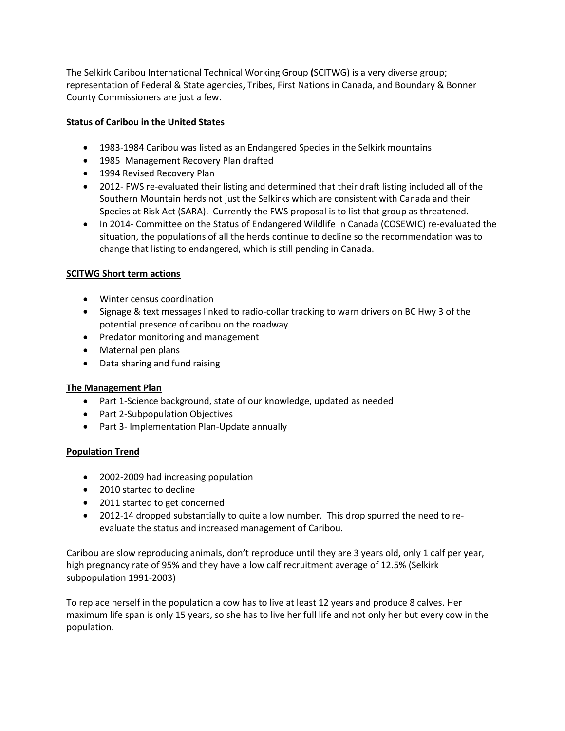The Selkirk Caribou International Technical Working Group **(**SCITWG) is a very diverse group; representation of Federal & State agencies, Tribes, First Nations in Canada, and Boundary & Bonner County Commissioners are just a few.

# **Status of Caribou in the United States**

- 1983-1984 Caribou was listed as an Endangered Species in the Selkirk mountains
- 1985 Management Recovery Plan drafted
- 1994 Revised Recovery Plan
- 2012- FWS re-evaluated their listing and determined that their draft listing included all of the Southern Mountain herds not just the Selkirks which are consistent with Canada and their Species at Risk Act (SARA). Currently the FWS proposal is to list that group as threatened.
- In 2014- Committee on the Status of Endangered Wildlife in Canada (COSEWIC) re-evaluated the situation, the populations of all the herds continue to decline so the recommendation was to change that listing to endangered, which is still pending in Canada.

#### **SCITWG Short term actions**

- Winter census coordination
- Signage & text messages linked to radio-collar tracking to warn drivers on BC Hwy 3 of the potential presence of caribou on the roadway
- Predator monitoring and management
- Maternal pen plans
- Data sharing and fund raising

#### **The Management Plan**

- Part 1-Science background, state of our knowledge, updated as needed
- Part 2-Subpopulation Objectives
- Part 3- Implementation Plan-Update annually

#### **Population Trend**

- 2002-2009 had increasing population
- 2010 started to decline
- 2011 started to get concerned
- 2012-14 dropped substantially to quite a low number. This drop spurred the need to reevaluate the status and increased management of Caribou.

Caribou are slow reproducing animals, don't reproduce until they are 3 years old, only 1 calf per year, high pregnancy rate of 95% and they have a low calf recruitment average of 12.5% (Selkirk subpopulation 1991-2003)

To replace herself in the population a cow has to live at least 12 years and produce 8 calves. Her maximum life span is only 15 years, so she has to live her full life and not only her but every cow in the population.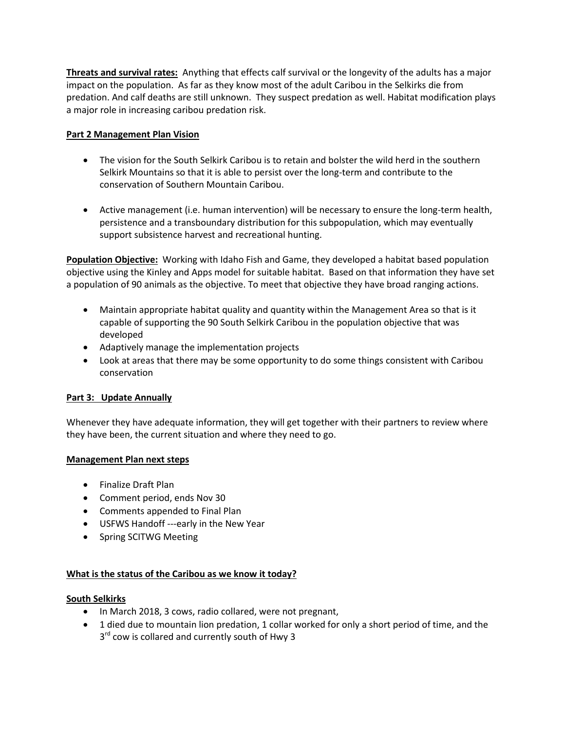**Threats and survival rates:** Anything that effects calf survival or the longevity of the adults has a major impact on the population. As far as they know most of the adult Caribou in the Selkirks die from predation. And calf deaths are still unknown. They suspect predation as well. Habitat modification plays a major role in increasing caribou predation risk.

## **Part 2 Management Plan Vision**

- The vision for the South Selkirk Caribou is to retain and bolster the wild herd in the southern Selkirk Mountains so that it is able to persist over the long-term and contribute to the conservation of Southern Mountain Caribou.
- Active management (i.e. human intervention) will be necessary to ensure the long-term health, persistence and a transboundary distribution for this subpopulation, which may eventually support subsistence harvest and recreational hunting.

**Population Objective:** Working with Idaho Fish and Game, they developed a habitat based population objective using the Kinley and Apps model for suitable habitat. Based on that information they have set a population of 90 animals as the objective. To meet that objective they have broad ranging actions.

- Maintain appropriate habitat quality and quantity within the Management Area so that is it capable of supporting the 90 South Selkirk Caribou in the population objective that was developed
- Adaptively manage the implementation projects
- Look at areas that there may be some opportunity to do some things consistent with Caribou conservation

#### **Part 3: Update Annually**

Whenever they have adequate information, they will get together with their partners to review where they have been, the current situation and where they need to go.

#### **Management Plan next steps**

- Finalize Draft Plan
- Comment period, ends Nov 30
- Comments appended to Final Plan
- USFWS Handoff ---early in the New Year
- Spring SCITWG Meeting

# **What is the status of the Caribou as we know it today?**

#### **South Selkirks**

- In March 2018, 3 cows, radio collared, were not pregnant,
- 1 died due to mountain lion predation, 1 collar worked for only a short period of time, and the
	- 3<sup>rd</sup> cow is collared and currently south of Hwy 3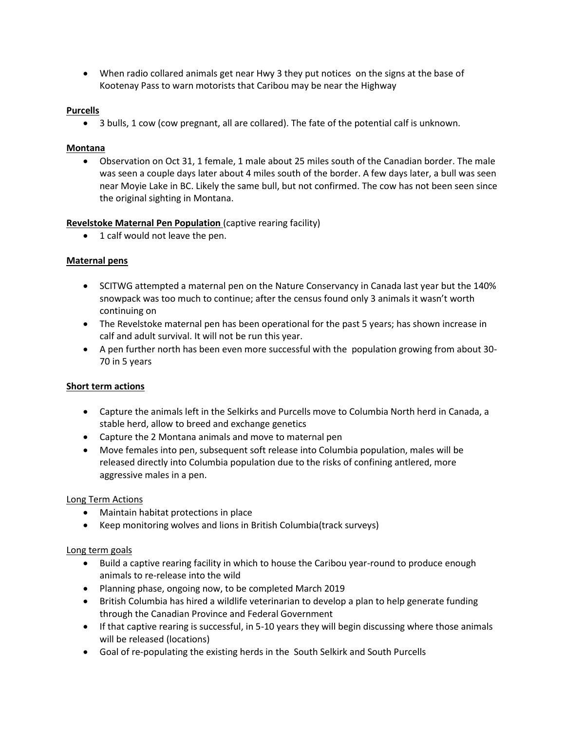When radio collared animals get near Hwy 3 they put notices on the signs at the base of Kootenay Pass to warn motorists that Caribou may be near the Highway

### **Purcells**

3 bulls, 1 cow (cow pregnant, all are collared). The fate of the potential calf is unknown.

## **Montana**

 Observation on Oct 31, 1 female, 1 male about 25 miles south of the Canadian border. The male was seen a couple days later about 4 miles south of the border. A few days later, a bull was seen near Moyie Lake in BC. Likely the same bull, but not confirmed. The cow has not been seen since the original sighting in Montana.

# **Revelstoke Maternal Pen Population** (captive rearing facility)

• 1 calf would not leave the pen.

## **Maternal pens**

- SCITWG attempted a maternal pen on the Nature Conservancy in Canada last year but the 140% snowpack was too much to continue; after the census found only 3 animals it wasn't worth continuing on
- The Revelstoke maternal pen has been operational for the past 5 years; has shown increase in calf and adult survival. It will not be run this year.
- A pen further north has been even more successful with the population growing from about 30- 70 in 5 years

# **Short term actions**

- Capture the animals left in the Selkirks and Purcells move to Columbia North herd in Canada, a stable herd, allow to breed and exchange genetics
- Capture the 2 Montana animals and move to maternal pen
- Move females into pen, subsequent soft release into Columbia population, males will be released directly into Columbia population due to the risks of confining antlered, more aggressive males in a pen.

#### Long Term Actions

- Maintain habitat protections in place
- Keep monitoring wolves and lions in British Columbia(track surveys)

#### Long term goals

- Build a captive rearing facility in which to house the Caribou year-round to produce enough animals to re-release into the wild
- Planning phase, ongoing now, to be completed March 2019
- British Columbia has hired a wildlife veterinarian to develop a plan to help generate funding through the Canadian Province and Federal Government
- If that captive rearing is successful, in 5-10 years they will begin discussing where those animals will be released (locations)
- Goal of re-populating the existing herds in the South Selkirk and South Purcells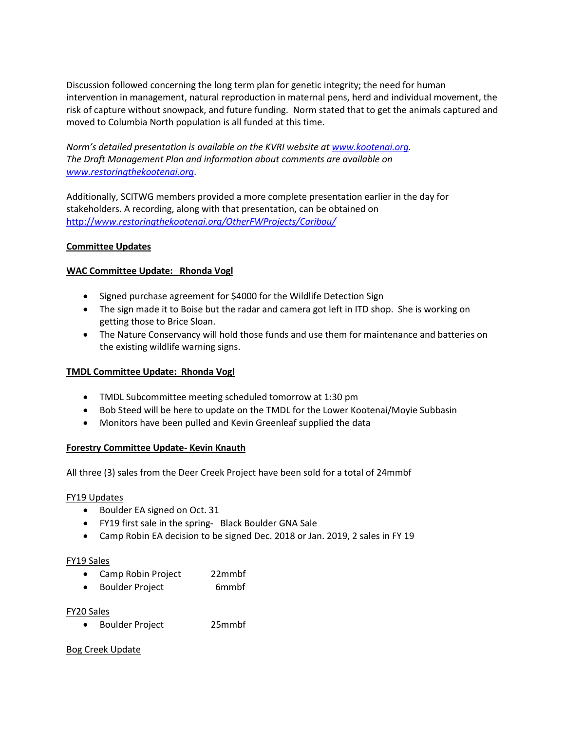Discussion followed concerning the long term plan for genetic integrity; the need for human intervention in management, natural reproduction in maternal pens, herd and individual movement, the risk of capture without snowpack, and future funding. Norm stated that to get the animals captured and moved to Columbia North population is all funded at this time.

*Norm's detailed presentation is available on the KVRI website at [www.kootenai.org.](http://www.kootenai.org/) The Draft Management Plan and information about comments are available on [www.restoringthekootenai.org](http://www.restoringthekootenai.org/)*.

Additionally, SCITWG members provided a more complete presentation earlier in the day for stakeholders. A recording, along with that presentation, can be obtained on http://*[www.restoringthekootenai.org/](http://www.restoringthekootenai.org/)OtherFWProjects/Caribou/*

#### **Committee Updates**

## **WAC Committee Update: Rhonda Vogl**

- Signed purchase agreement for \$4000 for the Wildlife Detection Sign
- The sign made it to Boise but the radar and camera got left in ITD shop. She is working on getting those to Brice Sloan.
- The Nature Conservancy will hold those funds and use them for maintenance and batteries on the existing wildlife warning signs.

#### **TMDL Committee Update: Rhonda Vogl**

- TMDL Subcommittee meeting scheduled tomorrow at 1:30 pm
- Bob Steed will be here to update on the TMDL for the Lower Kootenai/Moyie Subbasin
- Monitors have been pulled and Kevin Greenleaf supplied the data

#### **Forestry Committee Update- Kevin Knauth**

All three (3) sales from the Deer Creek Project have been sold for a total of 24mmbf

#### FY19 Updates

- Boulder EA signed on Oct. 31
- FY19 first sale in the spring- Black Boulder GNA Sale
- Camp Robin EA decision to be signed Dec. 2018 or Jan. 2019, 2 sales in FY 19

#### FY19 Sales

- Camp Robin Project 22mmbf
- Boulder Project 6mmbf

#### FY20 Sales

Boulder Project 25mmbf

#### Bog Creek Update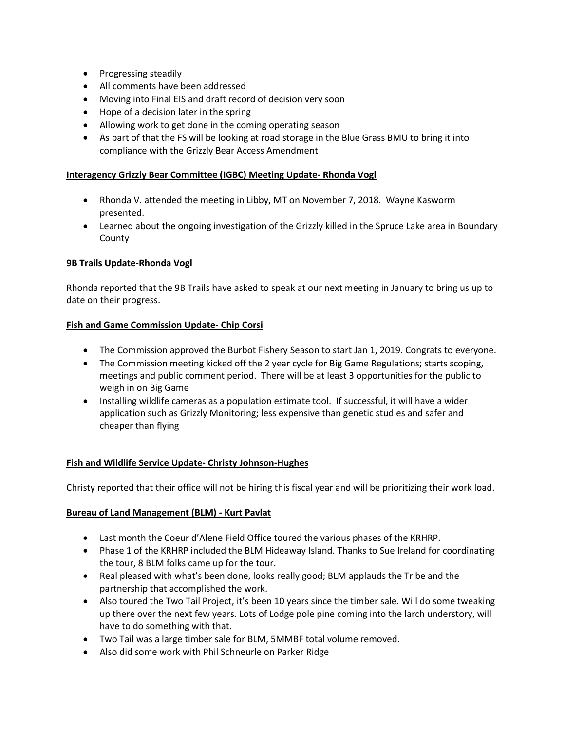- Progressing steadily
- All comments have been addressed
- Moving into Final EIS and draft record of decision very soon
- Hope of a decision later in the spring
- Allowing work to get done in the coming operating season
- As part of that the FS will be looking at road storage in the Blue Grass BMU to bring it into compliance with the Grizzly Bear Access Amendment

### **Interagency Grizzly Bear Committee (IGBC) Meeting Update- Rhonda Vogl**

- Rhonda V. attended the meeting in Libby, MT on November 7, 2018. Wayne Kasworm presented.
- Learned about the ongoing investigation of the Grizzly killed in the Spruce Lake area in Boundary County

## **9B Trails Update-Rhonda Vogl**

Rhonda reported that the 9B Trails have asked to speak at our next meeting in January to bring us up to date on their progress.

## **Fish and Game Commission Update- Chip Corsi**

- The Commission approved the Burbot Fishery Season to start Jan 1, 2019. Congrats to everyone.
- The Commission meeting kicked off the 2 year cycle for Big Game Regulations; starts scoping, meetings and public comment period. There will be at least 3 opportunities for the public to weigh in on Big Game
- Installing wildlife cameras as a population estimate tool. If successful, it will have a wider application such as Grizzly Monitoring; less expensive than genetic studies and safer and cheaper than flying

#### **Fish and Wildlife Service Update- Christy Johnson-Hughes**

Christy reported that their office will not be hiring this fiscal year and will be prioritizing their work load.

#### **Bureau of Land Management (BLM) - Kurt Pavlat**

- Last month the Coeur d'Alene Field Office toured the various phases of the KRHRP.
- Phase 1 of the KRHRP included the BLM Hideaway Island. Thanks to Sue Ireland for coordinating the tour, 8 BLM folks came up for the tour.
- Real pleased with what's been done, looks really good; BLM applauds the Tribe and the partnership that accomplished the work.
- Also toured the Two Tail Project, it's been 10 years since the timber sale. Will do some tweaking up there over the next few years. Lots of Lodge pole pine coming into the larch understory, will have to do something with that.
- Two Tail was a large timber sale for BLM, 5MMBF total volume removed.
- Also did some work with Phil Schneurle on Parker Ridge